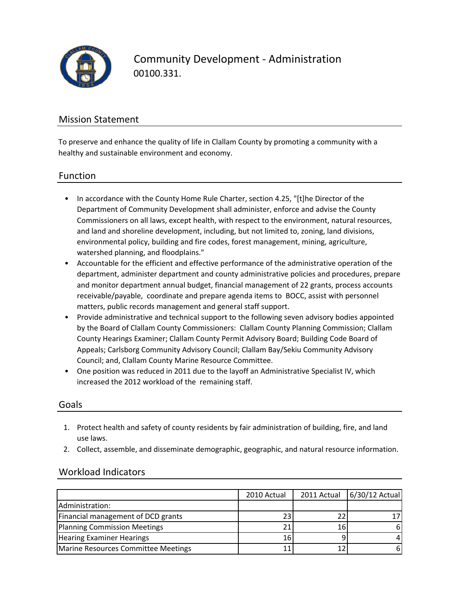

Community Development ‐ Administration 00100.331.

### Mission Statement

To preserve and enhance the quality of life in Clallam County by promoting a community with a healthy and sustainable environment and economy.

### Function

- In accordance with the County Home Rule Charter, section 4.25, "[t]he Director of the Department of Community Development shall administer, enforce and advise the County Commissioners on all laws, except health, with respect to the environment, natural resources, and land and shoreline development, including, but not limited to, zoning, land divisions, environmental policy, building and fire codes, forest management, mining, agriculture, watershed planning, and floodplains."
- Accountable for the efficient and effective performance of the administrative operation of the department, administer department and county administrative policies and procedures, prepare and monitor department annual budget, financial management of 22 grants, process accounts receivable/payable, coordinate and prepare agenda items to BOCC, assist with personnel matters, public records management and general staff support.
- Provide administrative and technical support to the following seven advisory bodies appointed by the Board of Clallam County Commissioners: Clallam County Planning Commission; Clallam County Hearings Examiner; Clallam County Permit Advisory Board; Building Code Board of Appeals; Carlsborg Community Advisory Council; Clallam Bay/Sekiu Community Advisory Council; and, Clallam County Marine Resource Committee.
- One position was reduced in 2011 due to the layoff an Administrative Specialist IV, which increased the 2012 workload of the remaining staff.

#### Goals

- 1. Protect health and safety of county residents by fair administration of building, fire, and land use laws.
- 2. Collect, assemble, and disseminate demographic, geographic, and natural resource information.

### Workload Indicators

|                                     | 2010 Actual |      | 2011 Actual 6/30/12 Actual |
|-------------------------------------|-------------|------|----------------------------|
| Administration:                     |             |      |                            |
| Financial management of DCD grants  | 23          |      |                            |
| Planning Commission Meetings        | 21          | 16 I | 6                          |
| <b>Hearing Examiner Hearings</b>    | 16          |      | 4                          |
| Marine Resources Committee Meetings | 11          |      | 6                          |